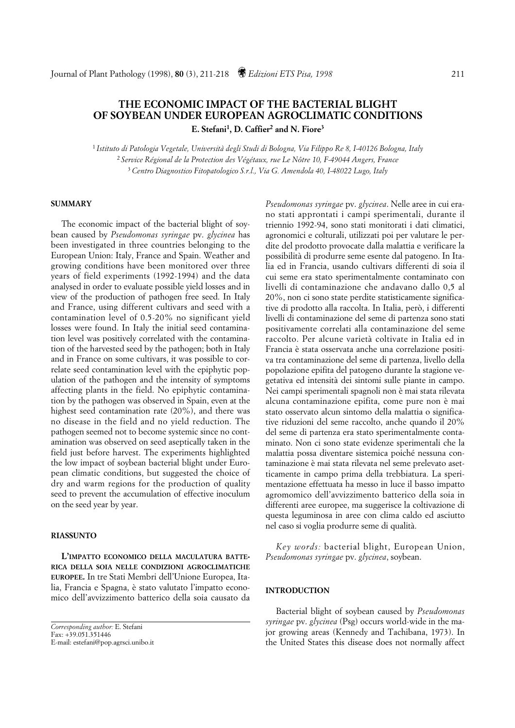# **THE ECONOMIC IMPACT OF THE BACTERIAL BLIGHT OF SOYBEAN UNDER EUROPEAN AGROCLIMATIC CONDITIONS E. Stefani1, D. Caffier2 and N. Fiore3**

<sup>1</sup>*Istituto di Patologia Vegetale, Università degli Studi di Bologna, Via Filippo Re 8, I-40126 Bologna, Italy* <sup>2</sup>*Service Régional de la Protection des Végétaux, rue Le Nôtre 10, F-49044 Angers, France* 3 *Centro Diagnostico Fitopatologico S.r.l., Via G. Amendola 40, I-48022 Lugo, Italy*

## **SUMMARY**

The economic impact of the bacterial blight of soybean caused by *Pseudomonas syringae* pv. *glycinea* has been investigated in three countries belonging to the European Union: Italy, France and Spain. Weather and growing conditions have been monitored over three years of field experiments (1992-1994) and the data analysed in order to evaluate possible yield losses and in view of the production of pathogen free seed. In Italy and France, using different cultivars and seed with a contamination level of 0.5-20% no significant yield losses were found. In Italy the initial seed contamination level was positively correlated with the contamination of the harvested seed by the pathogen; both in Italy and in France on some cultivars, it was possible to correlate seed contamination level with the epiphytic population of the pathogen and the intensity of symptoms affecting plants in the field. No epiphytic contamination by the pathogen was observed in Spain, even at the highest seed contamination rate (20%), and there was no disease in the field and no yield reduction. The pathogen seemed not to become systemic since no contamination was observed on seed aseptically taken in the field just before harvest. The experiments highlighted the low impact of soybean bacterial blight under European climatic conditions, but suggested the choice of dry and warm regions for the production of quality seed to prevent the accumulation of effective inoculum on the seed year by year.

## **RIASSUNTO**

**L'IMPATTO ECONOMICO DELLA MACULATURA BATTE-RICA DELLA SOIA NELLE CONDIZIONI AGROCLIMATICHE EUROPEE.** In tre Stati Membri dell'Unione Europea, Italia, Francia e Spagna, è stato valutato l'impatto economico dell'avvizzimento batterico della soia causato da

*Pseudomonas syringae* pv. *glycinea*. Nelle aree in cui erano stati approntati i campi sperimentali, durante il triennio 1992-94, sono stati monitorati i dati climatici, agronomici e colturali, utilizzati poi per valutare le perdite del prodotto provocate dalla malattia e verificare la possibilità di produrre seme esente dal patogeno. In Italia ed in Francia, usando cultivars differenti di soia il cui seme era stato sperimentalmente contaminato con livelli di contaminazione che andavano dallo 0,5 al 20%, non ci sono state perdite statisticamente significative di prodotto alla raccolta. In Italia, però, i differenti livelli di contaminazione del seme di partenza sono stati positivamente correlati alla contaminazione del seme raccolto. Per alcune varietà coltivate in Italia ed in Francia è stata osservata anche una correlazione positiva tra contaminazione del seme di partenza, livello della popolazione epifita del patogeno durante la stagione vegetativa ed intensità dei sintomi sulle piante in campo. Nei campi sperimentali spagnoli non è mai stata rilevata alcuna contaminazione epifita, come pure non è mai stato osservato alcun sintomo della malattia o significative riduzioni del seme raccolto, anche quando il 20% del seme di partenza era stato sperimentalmente contaminato. Non ci sono state evidenze sperimentali che la malattia possa diventare sistemica poiché nessuna contaminazione è mai stata rilevata nel seme prelevato asetticamente in campo prima della trebbiatura. La sperimentazione effettuata ha messo in luce il basso impatto agromomico dell'avvizzimento batterico della soia in differenti aree europee, ma suggerisce la coltivazione di questa leguminosa in aree con clima caldo ed asciutto nel caso si voglia produrre seme di qualità.

*Key words:* bacterial blight, European Union, *Pseudomonas syringae* pv. *glycinea*, soybean.

## **INTRODUCTION**

Bacterial blight of soybean caused by *Pseudomonas syringae* pv. *glycinea* (Psg) occurs world-wide in the major growing areas (Kennedy and Tachibana, 1973). In the United States this disease does not normally affect

*Corresponding author:* E. Stefani Fax: +39.051.351446 E-mail: estefani@pop.agrsci.unibo.it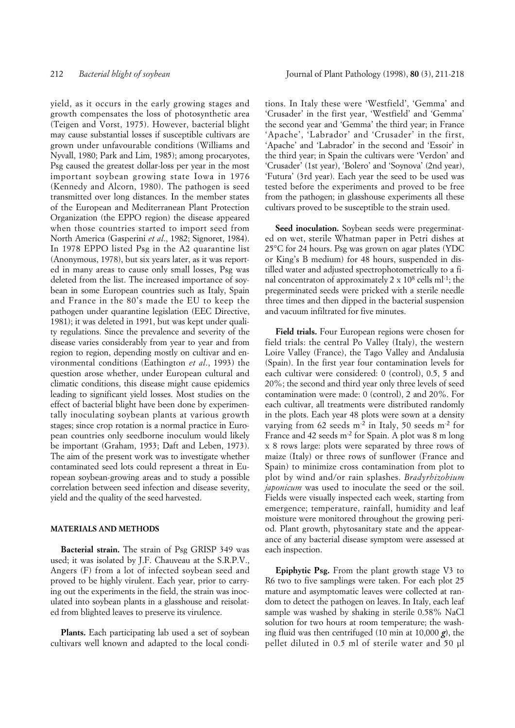yield, as it occurs in the early growing stages and growth compensates the loss of photosynthetic area (Teigen and Vorst, 1975). However, bacterial blight may cause substantial losses if susceptible cultivars are grown under unfavourable conditions (Williams and Nyvall, 1980; Park and Lim, 1985); among procaryotes, Psg caused the greatest dollar-loss per year in the most important soybean growing state Iowa in 1976 (Kennedy and Alcorn, 1980). The pathogen is seed transmitted over long distances. In the member states of the European and Mediterranean Plant Protection Organization (the EPPO region) the disease appeared when those countries started to import seed from North America (Gasperini *et al*., 1982; Signoret, 1984). In 1978 EPPO listed Psg in the A2 quarantine list (Anonymous, 1978), but six years later, as it was reported in many areas to cause only small losses, Psg was deleted from the list. The increased importance of soybean in some European countries such as Italy, Spain and France in the 80's made the EU to keep the pathogen under quarantine legislation (EEC Directive, 1981); it was deleted in 1991, but was kept under quality regulations. Since the prevalence and severity of the disease varies considerably from year to year and from region to region, depending mostly on cultivar and environmental conditions (Eathington *et al*., 1993) the question arose whether, under European cultural and climatic conditions, this disease might cause epidemics leading to significant yield losses. Most studies on the effect of bacterial blight have been done by experimentally inoculating soybean plants at various growth stages; since crop rotation is a normal practice in European countries only seedborne inoculum would likely be important (Graham, 1953; Daft and Leben, 1973). The aim of the present work was to investigate whether contaminated seed lots could represent a threat in European soybean-growing areas and to study a possible correlation between seed infection and disease severity, yield and the quality of the seed harvested.

### **MATERIALS AND METHODS**

**Bacterial strain.** The strain of Psg GRISP 349 was used; it was isolated by J.F. Chauveau at the S.R.P.V., Angers (F) from a lot of infected soybean seed and proved to be highly virulent. Each year, prior to carrying out the experiments in the field, the strain was inoculated into soybean plants in a glasshouse and reisolated from blighted leaves to preserve its virulence.

**Plants.** Each participating lab used a set of soybean cultivars well known and adapted to the local conditions. In Italy these were 'Westfield', 'Gemma' and 'Crusader' in the first year, 'Westfield' and 'Gemma' the second year and 'Gemma' the third year; in France 'Apache', 'Labrador' and 'Crusader' in the first, 'Apache' and 'Labrador' in the second and 'Essoir' in the third year; in Spain the cultivars were 'Verdon' and 'Crusader' (1st year), 'Bolero' and 'Soynova' (2nd year), 'Futura' (3rd year). Each year the seed to be used was tested before the experiments and proved to be free from the pathogen; in glasshouse experiments all these cultivars proved to be susceptible to the strain used.

**Seed inoculation.** Soybean seeds were pregerminated on wet, sterile Whatman paper in Petri dishes at 25°C for 24 hours. Psg was grown on agar plates (YDC or King's B medium) for 48 hours, suspended in distilled water and adjusted spectrophotometrically to a final concentraton of approximately  $2 \times 10^8$  cells ml<sup>-1</sup>; the pregerminated seeds were pricked with a sterile needle three times and then dipped in the bacterial suspension and vacuum infiltrated for five minutes.

**Field trials.** Four European regions were chosen for field trials: the central Po Valley (Italy), the western Loire Valley (France), the Tago Valley and Andalusia (Spain). In the first year four contamination levels for each cultivar were considered: 0 (control), 0.5, 5 and 20%; the second and third year only three levels of seed contamination were made: 0 (control), 2 and 20%. For each cultivar, all treatments were distributed randomly in the plots. Each year 48 plots were sown at a density varying from 62 seeds m-2 in Italy, 50 seeds m-2 for France and 42 seeds m-2 for Spain. A plot was 8 m long x 8 rows large: plots were separated by three rows of maize (Italy) or three rows of sunflower (France and Spain) to minimize cross contamination from plot to plot by wind and/or rain splashes. *Bradyrhizobium japonicum* was used to inoculate the seed or the soil. Fields were visually inspected each week, starting from emergence; temperature, rainfall, humidity and leaf moisture were monitored throughout the growing period. Plant growth, phytosanitary state and the appearance of any bacterial disease symptom were assessed at each inspection.

**Epiphytic Psg.** From the plant growth stage V3 to R6 two to five samplings were taken. For each plot 25 mature and asymptomatic leaves were collected at random to detect the pathogen on leaves. In Italy, each leaf sample was washed by shaking in sterile 0.58% NaCl solution for two hours at room temperature; the washing fluid was then centrifuged (10 min at 10,000 *g*), the pellet diluted in 0.5 ml of sterile water and 50 µl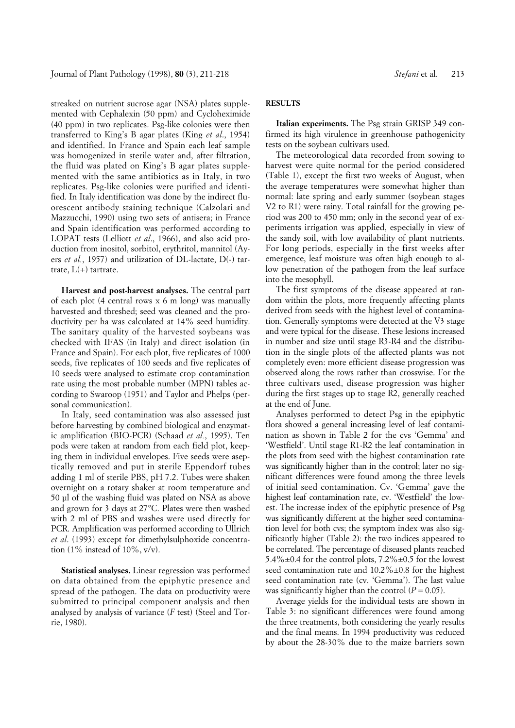streaked on nutrient sucrose agar (NSA) plates supplemented with Cephalexin (50 ppm) and Cycloheximide (40 ppm) in two replicates. Psg-like colonies were then transferred to King's B agar plates (King *et al*., 1954) and identified. In France and Spain each leaf sample was homogenized in sterile water and, after filtration, the fluid was plated on King's B agar plates supplemented with the same antibiotics as in Italy, in two replicates. Psg-like colonies were purified and identified. In Italy identification was done by the indirect fluorescent antibody staining technique (Calzolari and Mazzucchi, 1990) using two sets of antisera; in France and Spain identification was performed according to LOPAT tests (Lelliott *et al*., 1966), and also acid production from inositol, sorbitol, erythritol, mannitol (Ayers *et al.*, 1957) and utilization of DL-lactate, D(-) tartrate,  $L(+)$  tartrate.

**Harvest and post-harvest analyses.** The central part of each plot (4 central rows x 6 m long) was manually harvested and threshed; seed was cleaned and the productivity per ha was calculated at 14% seed humidity. The sanitary quality of the harvested soybeans was checked with IFAS (in Italy) and direct isolation (in France and Spain). For each plot, five replicates of 1000 seeds, five replicates of 100 seeds and five replicates of 10 seeds were analysed to estimate crop contamination rate using the most probable number (MPN) tables according to Swaroop (1951) and Taylor and Phelps (personal communication).

In Italy, seed contamination was also assessed just before harvesting by combined biological and enzymatic amplification (BIO-PCR) (Schaad *et al.*, 1995). Ten pods were taken at random from each field plot, keeping them in individual envelopes. Five seeds were aseptically removed and put in sterile Eppendorf tubes adding 1 ml of sterile PBS, pH 7.2. Tubes were shaken overnight on a rotary shaker at room temperature and 50 µl of the washing fluid was plated on NSA as above and grown for 3 days at 27°C. Plates were then washed with 2 ml of PBS and washes were used directly for PCR. Amplification was performed according to Ullrich *et al*. (1993) except for dimethylsulphoxide concentration (1% instead of 10%,  $v/v$ ).

**Statistical analyses.** Linear regression was performed on data obtained from the epiphytic presence and spread of the pathogen. The data on productivity were submitted to principal component analysis and then analysed by analysis of variance (*F* test) (Steel and Torrie, 1980).

## **RESULTS**

**Italian experiments.** The Psg strain GRISP 349 confirmed its high virulence in greenhouse pathogenicity tests on the soybean cultivars used.

The meteorological data recorded from sowing to harvest were quite normal for the period considered (Table 1), except the first two weeks of August, when the average temperatures were somewhat higher than normal: late spring and early summer (soybean stages V2 to R1) were rainy. Total rainfall for the growing period was 200 to 450 mm; only in the second year of experiments irrigation was applied, especially in view of the sandy soil, with low availability of plant nutrients. For long periods, especially in the first weeks after emergence, leaf moisture was often high enough to allow penetration of the pathogen from the leaf surface into the mesophyll.

The first symptoms of the disease appeared at random within the plots, more frequently affecting plants derived from seeds with the highest level of contamination. Generally symptoms were detected at the V3 stage and were typical for the disease. These lesions increased in number and size until stage R3-R4 and the distribution in the single plots of the affected plants was not completely even: more efficient disease progression was observed along the rows rather than crosswise. For the three cultivars used, disease progression was higher during the first stages up to stage R2, generally reached at the end of June.

Analyses performed to detect Psg in the epiphytic flora showed a general increasing level of leaf contamination as shown in Table 2 for the cvs 'Gemma' and 'Westfield'. Until stage R1-R2 the leaf contamination in the plots from seed with the highest contamination rate was significantly higher than in the control; later no significant differences were found among the three levels of initial seed contamination. Cv. 'Gemma' gave the highest leaf contamination rate, cv. 'Westfield' the lowest. The increase index of the epiphytic presence of Psg was significantly different at the higher seed contamination level for both cvs; the symptom index was also significantly higher (Table 2): the two indices appeared to be correlated. The percentage of diseased plants reached 5.4% $\pm$ 0.4 for the control plots, 7.2% $\pm$ 0.5 for the lowest seed contamination rate and  $10.2\% \pm 0.8$  for the highest seed contamination rate (cv. 'Gemma'). The last value was significantly higher than the control  $(P = 0.05)$ .

Average yields for the individual tests are shown in Table 3: no significant differences were found among the three treatments, both considering the yearly results and the final means. In 1994 productivity was reduced by about the 28-30% due to the maize barriers sown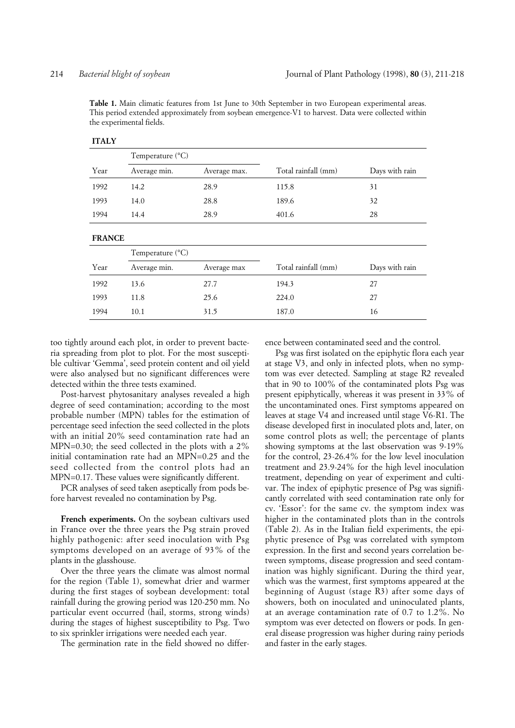**Table 1.** Main climatic features from 1st June to 30th September in two European experimental areas. This period extended approximately from soybean emergence-V1 to harvest. Data were collected within the experimental fields.

|               | Temperature $(^{\circ}C)$ |              |                     |                |  |
|---------------|---------------------------|--------------|---------------------|----------------|--|
| Year          | Average min.              | Average max. | Total rainfall (mm) | Days with rain |  |
| 1992          | 14.2                      | 28.9         | 115.8               | 31             |  |
| 1993          | 14.0                      | 28.8         | 189.6               | 32             |  |
| 1994          | 14.4                      | 28.9         | 401.6               | 28             |  |
| <b>FRANCE</b> |                           |              |                     |                |  |
|               | Temperature $(^{\circ}C)$ |              |                     |                |  |
| Year          | Average min.              | Average max  | Total rainfall (mm) | Days with rain |  |
| 1992          | 13.6                      | 27.7         | 194.3               | 27             |  |
| 1993          | 11.8                      | 25.6         | 224.0               | 27             |  |
| 1994          | 10.1                      | 31.5         | 187.0               | 16             |  |

## **ITALY**

too tightly around each plot, in order to prevent bacteria spreading from plot to plot. For the most susceptible cultivar 'Gemma', seed protein content and oil yield were also analysed but no significant differences were detected within the three tests examined.

Post-harvest phytosanitary analyses revealed a high degree of seed contamination; according to the most probable number (MPN) tables for the estimation of percentage seed infection the seed collected in the plots with an initial 20% seed contamination rate had an MPN=0.30; the seed collected in the plots with a 2% initial contamination rate had an MPN=0.25 and the seed collected from the control plots had an MPN=0.17. These values were significantly different.

PCR analyses of seed taken aseptically from pods before harvest revealed no contamination by Psg.

French experiments. On the soybean cultivars used in France over the three years the Psg strain proved highly pathogenic: after seed inoculation with Psg symptoms developed on an average of 93% of the plants in the glasshouse.

Over the three years the climate was almost normal for the region (Table 1), somewhat drier and warmer during the first stages of soybean development: total rainfall during the growing period was 120-250 mm. No particular event occurred (hail, storms, strong winds) during the stages of highest susceptibility to Psg. Two to six sprinkler irrigations were needed each year.

The germination rate in the field showed no differ-

ence between contaminated seed and the control.

Psg was first isolated on the epiphytic flora each year at stage V3, and only in infected plots, when no symptom was ever detected. Sampling at stage R2 revealed that in 90 to 100% of the contaminated plots Psg was present epiphytically, whereas it was present in 33% of the uncontaminated ones. First symptoms appeared on leaves at stage V4 and increased until stage V6-R1. The disease developed first in inoculated plots and, later, on some control plots as well; the percentage of plants showing symptoms at the last observation was 9-19% for the control, 23-26.4% for the low level inoculation treatment and 23.9-24% for the high level inoculation treatment, depending on year of experiment and cultivar. The index of epiphytic presence of Psg was significantly correlated with seed contamination rate only for cv. 'Essor': for the same cv. the symptom index was higher in the contaminated plots than in the controls (Table 2). As in the Italian field experiments, the epiphytic presence of Psg was correlated with symptom expression. In the first and second years correlation between symptoms, disease progression and seed contamination was highly significant. During the third year, which was the warmest, first symptoms appeared at the beginning of August (stage R3) after some days of showers, both on inoculated and uninoculated plants, at an average contamination rate of 0.7 to 1.2%. No symptom was ever detected on flowers or pods. In general disease progression was higher during rainy periods and faster in the early stages.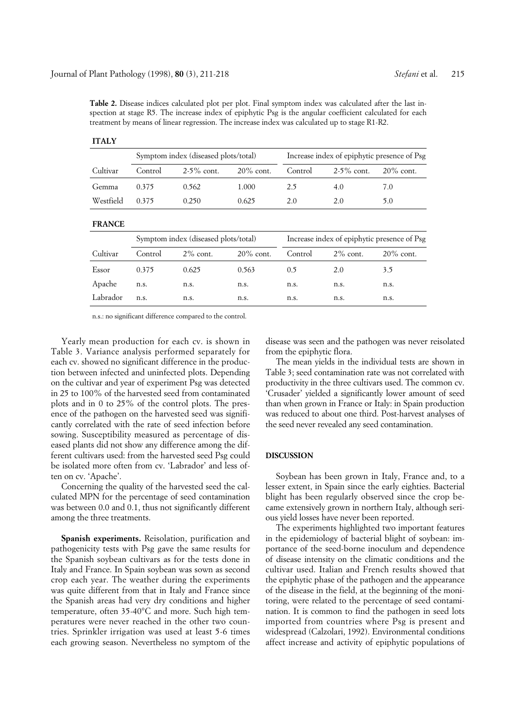**Table 2.** Disease indices calculated plot per plot. Final symptom index was calculated after the last inspection at stage R5. The increase index of epiphytic Psg is the angular coefficient calculated for each treatment by means of linear regression. The increase index was calculated up to stage R1-R2.

| <b>ITALY</b>  |                                      |               |              |                                             |               |              |  |
|---------------|--------------------------------------|---------------|--------------|---------------------------------------------|---------------|--------------|--|
|               | Symptom index (diseased plots/total) |               |              | Increase index of epiphytic presence of Psg |               |              |  |
| Cultivar      | Control                              | $2-5\%$ cont. | $20\%$ cont. | Control                                     | $2-5\%$ cont. | $20\%$ cont. |  |
| Gemma         | 0.375                                | 0.562         | 1.000        | 2.5                                         | 4.0           | 7.0          |  |
| Westfield     | 0.375                                | 0.250         | 0.625        | 2.0                                         | 2.0           | 5.0          |  |
| <b>FRANCE</b> |                                      |               |              |                                             |               |              |  |
|               | Symptom index (diseased plots/total) |               |              | Increase index of epiphytic presence of Psg |               |              |  |
| Cultivar      | Control                              | $2\%$ cont.   | $20\%$ cont. | Control                                     | $2\%$ cont.   | $20\%$ cont. |  |
| Essor         | 0.375                                | 0.625         | 0.563        | 0.5                                         | 2.0           | 3.5          |  |
| Apache        | n.s.                                 | n.s.          | n.s.         | n.s.                                        | n.s.          | n.s.         |  |
| Labrador      | n.s.                                 | n.s.          | n.s.         | n.s.                                        | n.s.          | n.s.         |  |

n.s.: no significant difference compared to the control.

Yearly mean production for each cv. is shown in Table 3. Variance analysis performed separately for each cv. showed no significant difference in the production between infected and uninfected plots. Depending on the cultivar and year of experiment Psg was detected in 25 to 100% of the harvested seed from contaminated plots and in 0 to 25% of the control plots. The presence of the pathogen on the harvested seed was significantly correlated with the rate of seed infection before sowing. Susceptibility measured as percentage of diseased plants did not show any difference among the different cultivars used: from the harvested seed Psg could be isolated more often from cv. 'Labrador' and less often on cv. 'Apache'.

Concerning the quality of the harvested seed the calculated MPN for the percentage of seed contamination was between 0.0 and 0.1, thus not significantly different among the three treatments.

**Spanish experiments.** Reisolation, purification and pathogenicity tests with Psg gave the same results for the Spanish soybean cultivars as for the tests done in Italy and France. In Spain soybean was sown as second crop each year. The weather during the experiments was quite different from that in Italy and France since the Spanish areas had very dry conditions and higher temperature, often 35-40°C and more. Such high temperatures were never reached in the other two countries. Sprinkler irrigation was used at least 5-6 times each growing season. Nevertheless no symptom of the

disease was seen and the pathogen was never reisolated from the epiphytic flora.

The mean yields in the individual tests are shown in Table 3; seed contamination rate was not correlated with productivity in the three cultivars used. The common cv. 'Crusader' yielded a significantly lower amount of seed than when grown in France or Italy: in Spain production was reduced to about one third. Post-harvest analyses of the seed never revealed any seed contamination.

### **DISCUSSION**

Soybean has been grown in Italy, France and, to a lesser extent, in Spain since the early eighties. Bacterial blight has been regularly observed since the crop became extensively grown in northern Italy, although serious yield losses have never been reported.

The experiments highlighted two important features in the epidemiology of bacterial blight of soybean: importance of the seed-borne inoculum and dependence of disease intensity on the climatic conditions and the cultivar used. Italian and French results showed that the epiphytic phase of the pathogen and the appearance of the disease in the field, at the beginning of the monitoring, were related to the percentage of seed contamination. It is common to find the pathogen in seed lots imported from countries where Psg is present and widespread (Calzolari, 1992). Environmental conditions affect increase and activity of epiphytic populations of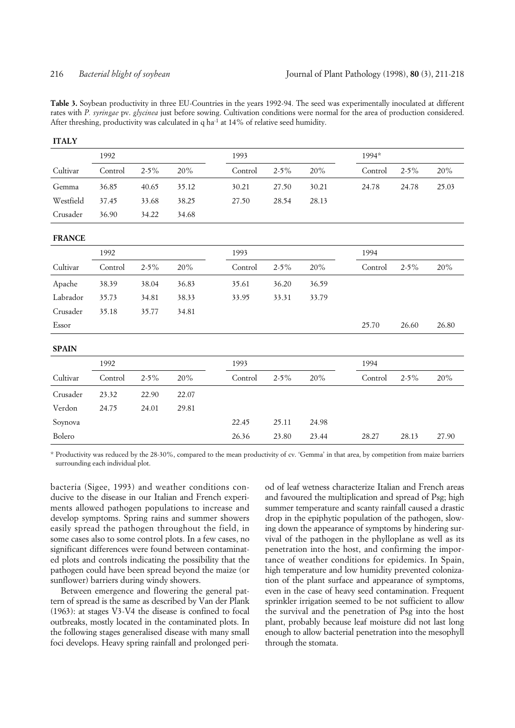**ITALY**

**Table 3.** Soybean productivity in three EU-Countries in the years 1992-94. The seed was experimentally inoculated at different rates with *P. syringae* pv. *glycinea* just before sowing. Cultivation conditions were normal for the area of production considered. After threshing, productivity was calculated in q ha<sup>-1</sup> at 14% of relative seed humidity.

|               | 1992    |           |       | 1993    |           |       |         | 1994*     |       |  |
|---------------|---------|-----------|-------|---------|-----------|-------|---------|-----------|-------|--|
| Cultivar      | Control | $2 - 5\%$ | 20%   | Control | $2 - 5\%$ | 20%   | Control | $2 - 5\%$ | 20%   |  |
| Gemma         | 36.85   | 40.65     | 35.12 | 30.21   | 27.50     | 30.21 | 24.78   | 24.78     | 25.03 |  |
| Westfield     | 37.45   | 33.68     | 38.25 | 27.50   | 28.54     | 28.13 |         |           |       |  |
| Crusader      | 36.90   | 34.22     | 34.68 |         |           |       |         |           |       |  |
| <b>FRANCE</b> |         |           |       |         |           |       |         |           |       |  |
|               | 1992    |           |       | 1993    |           |       | 1994    |           |       |  |
| Cultivar      | Control | $2 - 5\%$ | 20%   | Control | $2 - 5\%$ | 20%   | Control | $2 - 5\%$ | 20%   |  |
| Apache        | 38.39   | 38.04     | 36.83 | 35.61   | 36.20     | 36.59 |         |           |       |  |
| Labrador      | 35.73   | 34.81     | 38.33 | 33.95   | 33.31     | 33.79 |         |           |       |  |
| Crusader      | 35.18   | 35.77     | 34.81 |         |           |       |         |           |       |  |
| Essor         |         |           |       |         |           |       | 25.70   | 26.60     | 26.80 |  |
| <b>SPAIN</b>  |         |           |       |         |           |       |         |           |       |  |
|               | 1992    |           |       | 1993    |           |       | 1994    |           |       |  |
| Cultivar      | Control | $2 - 5\%$ | 20%   | Control | $2 - 5\%$ | 20%   | Control | $2 - 5\%$ | 20%   |  |
| Crusader      | 23.32   | 22.90     | 22.07 |         |           |       |         |           |       |  |
| Verdon        | 24.75   | 24.01     | 29.81 |         |           |       |         |           |       |  |
| Soynova       |         |           |       | 22.45   | 25.11     | 24.98 |         |           |       |  |
| Bolero        |         |           |       | 26.36   | 23.80     | 23.44 | 28.27   | 28.13     | 27.90 |  |
|               |         |           |       |         |           |       |         |           |       |  |

\* Productivity was reduced by the 28-30%, compared to the mean productivity of cv. 'Gemma' in that area, by competition from maize barriers surrounding each individual plot.

bacteria (Sigee, 1993) and weather conditions conducive to the disease in our Italian and French experiments allowed pathogen populations to increase and develop symptoms. Spring rains and summer showers easily spread the pathogen throughout the field, in some cases also to some control plots. In a few cases, no significant differences were found between contaminated plots and controls indicating the possibility that the pathogen could have been spread beyond the maize (or sunflower) barriers during windy showers.

Between emergence and flowering the general pattern of spread is the same as described by Van der Plank (1963): at stages V3-V4 the disease is confined to focal outbreaks, mostly located in the contaminated plots. In the following stages generalised disease with many small foci develops. Heavy spring rainfall and prolonged period of leaf wetness characterize Italian and French areas and favoured the multiplication and spread of Psg; high summer temperature and scanty rainfall caused a drastic drop in the epiphytic population of the pathogen, slowing down the appearance of symptoms by hindering survival of the pathogen in the phylloplane as well as its penetration into the host, and confirming the importance of weather conditions for epidemics. In Spain, high temperature and low humidity prevented colonization of the plant surface and appearance of symptoms, even in the case of heavy seed contamination. Frequent sprinkler irrigation seemed to be not sufficient to allow the survival and the penetration of Psg into the host plant, probably because leaf moisture did not last long enough to allow bacterial penetration into the mesophyll through the stomata.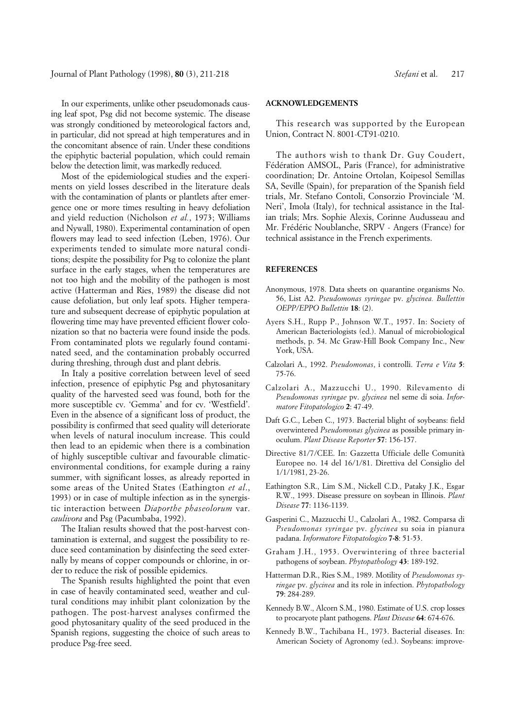Journal of Plant Pathology (1998), **80** (3), 211-218 *Stefani* et al. 217

In our experiments, unlike other pseudomonads causing leaf spot, Psg did not become systemic. The disease was strongly conditioned by meteorological factors and, in particular, did not spread at high temperatures and in the concomitant absence of rain. Under these conditions the epiphytic bacterial population, which could remain below the detection limit, was markedly reduced.

Most of the epidemiological studies and the experiments on yield losses described in the literature deals with the contamination of plants or plantlets after emergence one or more times resulting in heavy defoliation and yield reduction (Nicholson *et al.*, 1973; Williams and Nywall, 1980). Experimental contamination of open flowers may lead to seed infection (Leben, 1976). Our experiments tended to simulate more natural conditions; despite the possibility for Psg to colonize the plant surface in the early stages, when the temperatures are not too high and the mobility of the pathogen is most active (Hatterman and Ries, 1989) the disease did not cause defoliation, but only leaf spots. Higher temperature and subsequent decrease of epiphytic population at flowering time may have prevented efficient flower colonization so that no bacteria were found inside the pods. From contaminated plots we regularly found contaminated seed, and the contamination probably occurred during threshing, through dust and plant debris.

In Italy a positive correlation between level of seed infection, presence of epiphytic Psg and phytosanitary quality of the harvested seed was found, both for the more susceptible cv. 'Gemma' and for cv. 'Westfield'. Even in the absence of a significant loss of product, the possibility is confirmed that seed quality will deteriorate when levels of natural inoculum increase. This could then lead to an epidemic when there is a combination of highly susceptible cultivar and favourable climaticenvironmental conditions, for example during a rainy summer, with significant losses, as already reported in some areas of the United States (Eathington *et al*., 1993) or in case of multiple infection as in the synergistic interaction between *Diaporthe phaseolorum* var. *caulivora* and Psg (Pacumbaba, 1992).

The Italian results showed that the post-harvest contamination is external, and suggest the possibility to reduce seed contamination by disinfecting the seed externally by means of copper compounds or chlorine, in order to reduce the risk of possible epidemics.

The Spanish results highlighted the point that even in case of heavily contaminated seed, weather and cultural conditions may inhibit plant colonization by the pathogen. The post-harvest analyses confirmed the good phytosanitary quality of the seed produced in the Spanish regions, suggesting the choice of such areas to produce Psg-free seed.

### **ACKNOWLEDGEMENTS**

This research was supported by the European Union, Contract N. 8001-CT91-0210.

The authors wish to thank Dr. Guy Coudert, Fédération AMSOL, Paris (France), for administrative coordination; Dr. Antoine Ortolan, Koipesol Semillas SA, Seville (Spain), for preparation of the Spanish field trials, Mr. Stefano Contoli, Consorzio Provinciale 'M. Neri', Imola (Italy), for technical assistance in the Italian trials; Mrs. Sophie Alexis, Corinne Audusseau and Mr. Frédéric Noublanche, SRPV - Angers (France) for technical assistance in the French experiments.

#### **REFERENCES**

- Anonymous, 1978. Data sheets on quarantine organisms No. 56, List A2. *Pseudomonas syringae* pv. *glycinea. Bullettin OEPP/EPPO Bullettin* **18**: (2).
- Ayers S.H., Rupp P., Johnson W.T., 1957. In: Society of American Bacteriologists (ed.). Manual of microbiological methods, p. 54. Mc Graw-Hill Book Company Inc., New York, USA.
- Calzolari A., 1992. *Pseudomonas*, i controlli. *Terra e Vita* **5**: 75-76.
- Calzolari A., Mazzucchi U., 1990. Rilevamento di *Pseudomonas syringae* pv. *glycinea* nel seme di soia. *Informatore Fitopatologico* **2**: 47-49.
- Daft G.C., Leben C., 1973. Bacterial blight of soybeans: field overwintered *Pseudomonas glycinea* as possible primary inoculum. *Plant Disease Reporter* **57**: 156-157.
- Directive 81/7/CEE. In: Gazzetta Ufficiale delle Comunità Europee no. 14 del 16/1/81. Direttiva del Consiglio del 1/1/1981, 23-26.
- Eathington S.R., Lim S.M., Nickell C.D., Pataky J.K., Esgar R.W., 1993. Disease pressure on soybean in Illinois. *Plant Disease* **77**: 1136-1139.
- Gasperini C., Mazzucchi U., Calzolari A., 1982. Comparsa di *Pseudomonas syringae* pv. *glycinea* su soia in pianura padana. *Informatore Fitopatologico* **7-8**: 51-53.
- Graham J.H., 1953. Overwintering of three bacterial pathogens of soybean. *Phytopathology* **43**: 189-192.
- Hatterman D.R., Ries S.M., 1989. Motility of *Pseudomonas syringae* pv. *glycinea* and its role in infection. *Phytopathology* **79**: 284-289.
- Kennedy B.W., Alcorn S.M., 1980. Estimate of U.S. crop losses to procaryote plant pathogens. *Plant Disease* **64**: 674-676.
- Kennedy B.W., Tachibana H., 1973. Bacterial diseases. In: American Society of Agronomy (ed.). Soybeans: improve-